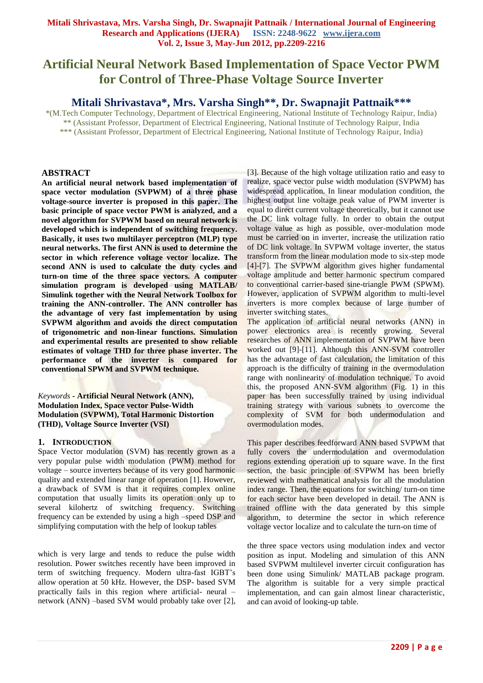# **Artificial Neural Network Based Implementation of Space Vector PWM for Control of Three-Phase Voltage Source Inverter**

# **Mitali Shrivastava\*, Mrs. Varsha Singh\*\*, Dr. Swapnajit Pattnaik\*\*\***

\*(M.Tech Computer Technology, Department of Electrical Engineering, National Institute of Technology Raipur, India) \*\* (Assistant Professor, Department of Electrical Engineering, National Institute of Technology Raipur, India \*\*\* (Assistant Professor, Department of Electrical Engineering, National Institute of Technology Raipur, India)

## **ABSTRACT**

**An artificial neural network based implementation of space vector modulation (SVPWM) of a three phase voltage-source inverter is proposed in this paper. The basic principle of space vector PWM is analyzed, and a novel algorithm for SVPWM based on neural network is developed which is independent of switching frequency. Basically, it uses two multilayer perceptron (MLP) type neural networks. The first ANN is used to determine the sector in which reference voltage vector localize. The second ANN is used to calculate the duty cycles and turn-on time of the three space vectors. A computer simulation program is developed using MATLAB/ Simulink together with the Neural Network Toolbox for training the ANN-controller. The ANN controller has the advantage of very fast implementation by using SVPWM algorithm and avoids the direct computation of trigonometric and non-linear functions. Simulation and experimental results are presented to show reliable estimates of voltage THD for three phase inverter. The performance of the inverter is compared for conventional SPWM and SVPWM technique.**

## *Keywords* **- Artificial Neural Network (ANN), Modulation Index, Space vector Pulse-Width Modulation (SVPWM), Total Harmonic Distortion (THD), Voltage Source Inverter (VSI)**

## **1. INTRODUCTION**

Space Vector modulation (SVM) has recently grown as a very popular pulse width modulation (PWM) method for voltage – source inverters because of its very good harmonic quality and extended linear range of operation [1]. However, a drawback of SVM is that it requires complex online computation that usually limits its operation only up to several kilohertz of switching frequency. Switching frequency can be extended by using a high –speed DSP and simplifying computation with the help of lookup tables

which is very large and tends to reduce the pulse width resolution. Power switches recently have been improved in term of switching frequency. Modern ultra-fast IGBT"s allow operation at 50 kHz. However, the DSP- based SVM practically fails in this region where artificial- neural – network (ANN) –based SVM would probably take over [2],

[3]. Because of the high voltage utilization ratio and easy to realize, space vector pulse width modulation (SVPWM) has widespread application. In linear modulation condition, the highest output line voltage peak value of PWM inverter is equal to direct current voltage theoretically, but it cannot use the DC link voltage fully. In order to obtain the output voltage value as high as possible, over-modulation mode must be carried on in inverter, increase the utilization ratio of DC link voltage. In SVPWM voltage inverter, the status transform from the linear modulation mode to six-step mode [4]-[7]. The SVPWM algorithm gives higher fundamental voltage amplitude and better harmonic spectrum compared to conventional carrier-based sine-triangle PWM (SPWM). However, application of SVPWM algorithm to multi-level inverters is more complex because of large number of inverter switching states.

The application of artificial neural networks (ANN) in power electronics area is recently growing. Several researches of ANN implementation of SVPWM have been worked out [9]-[11]. Although this ANN-SVM controller has the advantage of fast calculation, the limitation of this approach is the difficulty of training in the overmodulation range with nonlinearity of modulation technique. To avoid this, the proposed ANN-SVM algorithm (Fig. 1) in this paper has been successfully trained by using individual training strategy with various subnets to overcome the complexity of SVM for both undermodulation and overmodulation modes.

This paper describes feedforward ANN based SVPWM that fully covers the undermodulation and overmodulation regions extending operation up to square wave. In the first section, the basic principle of SVPWM has been briefly reviewed with mathematical analysis for all the modulation index range. Then, the equations for switching/ turn-on time for each sector have been developed in detail. The ANN is trained offline with the data generated by this simple algorithm, to determine the sector in which reference voltage vector localize and to calculate the turn-on time of

the three space vectors using modulation index and vector position as input. Modeling and simulation of this ANN based SVPWM multilevel inverter circuit configuration has been done using Simulink/ MATLAB package program. The algorithm is suitable for a very simple practical implementation, and can gain almost linear characteristic, and can avoid of looking-up table.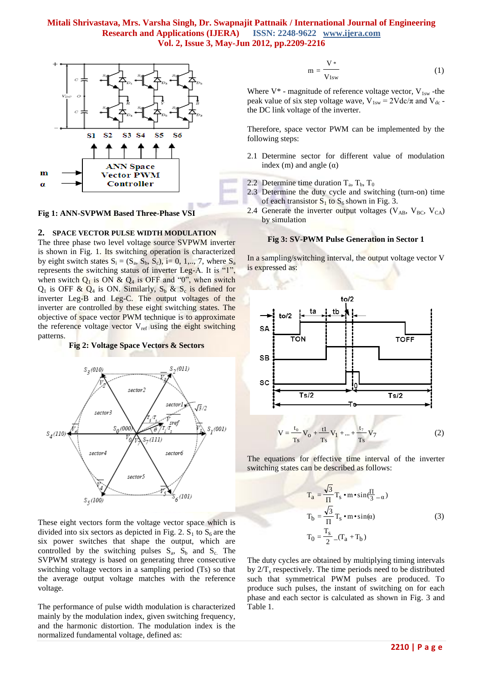

#### **Fig 1: ANN-SVPWM Based Three-Phase VSI**

#### **2. SPACE VECTOR PULSE WIDTH MODULATION**

The three phase two level voltage source SVPWM inverter is shown in Fig. 1. Its switching operation is characterized by eight switch states  $S_i = (S_a, S_b, S_c)$ , i= 0, 1,.., 7, where  $S_a$ represents the switching status of inverter Leg-A. It is "1", when switch  $Q_1$  is ON &  $Q_4$  is OFF and "0", when switch  $Q_1$  is OFF &  $Q_4$  is ON. Similarly,  $S_b$  &  $S_c$  is defined for inverter Leg-B and Leg-C. The output voltages of the inverter are controlled by these eight switching states. The objective of space vector PWM technique is to approximate the reference voltage vector  $V_{ref}$  using the eight switching patterns.

#### **Fig 2: Voltage Space Vectors & Sectors**



These eight vectors form the voltage vector space which is divided into six sectors as depicted in Fig. 2.  $S_1$  to  $S_6$  are the six power switches that shape the output, which are controlled by the switching pulses  $S_a$ ,  $S_b$  and  $S_c$ . The SVPWM strategy is based on generating three consecutive switching voltage vectors in a sampling period (Ts) so that the average output voltage matches with the reference voltage.

The performance of pulse width modulation is characterized mainly by the modulation index, given switching frequency, and the harmonic distortion. The modulation index is the normalized fundamental voltage, defined as:

$$
m = \frac{V^*}{V_{1sw}}
$$
 (1)

Where  $V^*$  - magnitude of reference voltage vector,  $V_{1sw}$  -the peak value of six step voltage wave,  $V_{1sw} = 2Vdc/\pi$  and  $V_{dc}$ . the DC link voltage of the inverter.

Therefore, space vector PWM can be implemented by the following steps:

- 2.1 Determine sector for different value of modulation index (m) and angle  $(\alpha)$
- 2.2 Determine time duration  $T_a$ ,  $T_b$ ,  $T_0$
- 2.3 Determine the duty cycle and switching (turn-on) time of each transistor  $S_1$  to  $S_6$  shown in Fig. 3.
- 2.4 Generate the inverter output voltages ( $V_{AB}$ ,  $V_{BC}$ ,  $V_{CA}$ ) by simulation

#### **Fig 3: SV-PWM Pulse Generation in Sector 1**

In a sampling/switching interval, the output voltage vector V is expressed as:



The equations for effective time interval of the inverter switching states can be described as follows:

$$
T_a = \frac{\sqrt{3}}{\Pi} T_s \cdot m \cdot \sin(\frac{\Pi}{3} - \alpha)
$$
  
\n
$$
T_b = \frac{\sqrt{3}}{\Pi} T_s \cdot m \cdot \sin(\alpha)
$$
  
\n
$$
T_0 = \frac{T_s}{2} (T_a + T_b)
$$
 (3)

The duty cycles are obtained by multiplying timing intervals by  $2/T_s$  respectively. The time periods need to be distributed such that symmetrical PWM pulses are produced. To produce such pulses, the instant of switching on for each phase and each sector is calculated as shown in Fig. 3 and Table 1.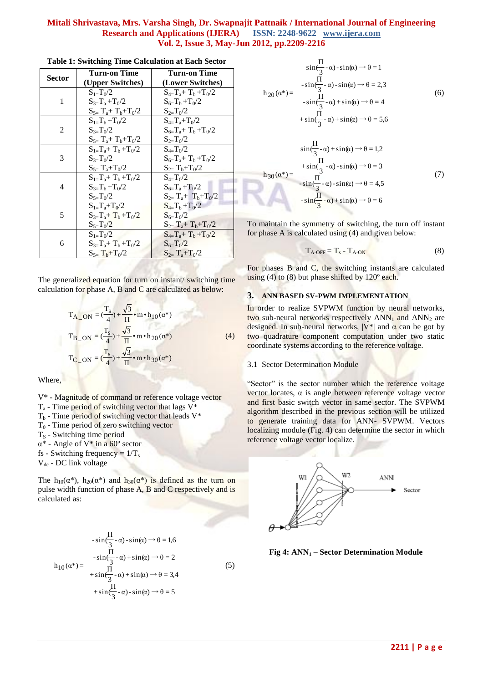| Sector | Turn-on Time             | <b>Turn-on Time</b>         |  |
|--------|--------------------------|-----------------------------|--|
|        | (Upper Switches)         | (Lower Switches)            |  |
|        | $S_{1=}\mathrm{T}_{0}/2$ | $S_{4=}T_a+T_b+T_0/2$       |  |
| 1      | $S_{3=}T_a+T_0/2$        | $S_{6=}T_{b}+T_{0}/2$       |  |
|        | $S_{5=}T_a+T_b+T_0/2$    | $S_{2=}T_0/2$               |  |
| 2      | $S_{1=}T_{b}+T_{0}/2$    | $S_{4=}T_a+T_0/2$           |  |
|        | $S_{3=}T_0/2$            | $S_{6=}T_a+T_b+T_0/2$       |  |
|        | $S_{5=}T_a+T_b+T_0/2$    | $S_{2=}T_0/2$               |  |
| 3      | $S_{1=}T_a+T_b+T_0/2$    | $S_{4=}T_0/2$               |  |
|        | $S_{3=}T_0/2$            | $S_{6=}T_a+T_b+T_0/2$       |  |
|        | $S_{5=}T_a+T_0/2$        | $S_{2=}T_{b}+T_{0}/2$       |  |
| 4      | $S_{1=}T_a+T_b+T_0/2$    | $S_{4=}T_0/2$               |  |
|        | $S_{3=}T_b + T_0/2$      | $S_{6=}T_a+T_0/2$           |  |
|        | $S_{5=}T_0/2$            | $S_{2=}T_{a}+T_{b}+T_{0}/2$ |  |
| 5      | $S_{1=}T_a+T_0/2$        | $S_{4=}T_{b}+T_{0}/2$       |  |
|        | $S_{3=}T_a+T_b+T_0/2$    | $S_{6=}T_0/2$               |  |
|        | $S_{5=}T_0/2$            | $S_{2=}T_a+T_b+T_0/2$       |  |
| 6      | $S_{1=}\frac{T_0}{2}$    | $S_{4=}T_a+T_b+T_0/2$       |  |
|        | $S_{3=}T_a+T_b+T_0/2$    | $S_{6=}T_0/2$               |  |
|        | $S_{5=}T_{b}+T_{0}/2$    | $S_{2=}T_a+T_0/2$           |  |

| Table 1: Switching Time Calculation at Each Sector |  |  |  |  |
|----------------------------------------------------|--|--|--|--|
|----------------------------------------------------|--|--|--|--|

The generalized equation for turn on instant/ switching time calculation for phase A, B and C are calculated as below:

$$
T_{A_{ON}} = \left(\frac{T_s}{4}\right) + \frac{\sqrt{3}}{\Pi} \cdot m \cdot h_{10}(\alpha^*)
$$
  
\n
$$
T_{B_{ON}} = \left(\frac{T_s}{4}\right) + \frac{\sqrt{3}}{\Pi} \cdot m \cdot h_{20}(\alpha^*)
$$
  
\n
$$
T_{C_{ON}} = \left(\frac{T_s}{4}\right) + \frac{\sqrt{3}}{\Pi} \cdot m \cdot h_{30}(\alpha^*)
$$
\n(4)

Where

- V\* Magnitude of command or reference voltage vector
- $T_a$  Time period of switching vector that lags  $V^*$
- $T<sub>b</sub>$  Time period of switching vector that leads V\*
- $T_0$  Time period of zero switching vector
- $T<sub>S</sub>$  Switching time period

α\* - Angle of V\* in a 60º sector

fs - Switching frequency =  $1/T_s$ 

 $V_{dc}$  - DC link voltage

The h<sub>10</sub>( $\alpha^*$ ), h<sub>20</sub>( $\alpha^*$ ) and h<sub>30</sub>( $\alpha^*$ ) is defined as the turn on pulse width function of phase A, B and C respectively and is calculated as:

$$
-\sin\left(\frac{\Pi}{3} - \alpha\right) - \sin(\alpha) \to \theta = 1,6
$$
  
\n
$$
-\sin\left(\frac{\Pi}{3} - \alpha\right) + \sin(\alpha) \to \theta = 2
$$
  
\n
$$
+\sin\left(\frac{\Pi}{3} - \alpha\right) + \sin(\alpha) \to \theta = 3,4
$$
  
\n
$$
+\sin\left(\frac{\Pi}{3} - \alpha\right) - \sin(\alpha) \to \theta = 5
$$
\n(5)

$$
\sin\left(\frac{\Pi}{3} - \alpha\right) - \sin(\alpha) \to \theta = 1
$$
\n
$$
- \sin\left(\frac{\Pi}{3} - \alpha\right) - \sin(\alpha) \to \theta = 2,3
$$
\n
$$
- \sin\left(\frac{\Pi}{3} - \alpha\right) + \sin(\alpha) \to \theta = 4
$$
\n
$$
+ \sin\left(\frac{\Pi}{3} - \alpha\right) + \sin(\alpha) \to \theta = 5,6
$$
\n
$$
\sin\left(\frac{\Pi}{3} - \alpha\right) + \sin(\alpha) \to \theta = 1,2
$$
\n
$$
+ \sin\left(\frac{\Pi}{3} - \alpha\right) - \sin(\alpha) \to \theta = 3
$$
\n
$$
h_{30}(\alpha^*) = \frac{h_{30}(\alpha^*)}{h_{30}(\alpha^*) - \sin\left(\frac{\Pi}{3} - \alpha\right) - \sin(\alpha) \to \theta = 4,5
$$
\n
$$
- \sin\left(\frac{\Pi}{3} - \alpha\right) + \sin(\alpha) \to \theta = 6
$$
\n(7)

To maintain the symmetry of switching, the turn off instant for phase A is calculated using (4) and given below:

$$
T_{A\text{-OFF}} = T_s - T_{A\text{-ON}} \tag{8}
$$

For phases B and C, the switching instants are calculated using  $(4)$  to  $(8)$  but phase shifted by  $120^{\circ}$  each.

#### **3. ANN BASED SV-PWM IMPLEMENTATION**

In order to realize SVPWM function by neural networks, two sub-neural networks respectively  $ANN_1$  and  $ANN_2$  are designed. In sub-neural networks,  $|V^*|$  and  $\alpha$  can be got by two quadrature component computation under two static coordinate systems according to the reference voltage.

#### 3.1 Sector Determination Module

"Sector" is the sector number which the reference voltage vector locates, α is angle between reference voltage vector and first basic switch vector in same sector. The SVPWM algorithm described in the previous section will be utilized to generate training data for ANN- SVPWM. Vectors localizing module (Fig. 4) can determine the sector in which reference voltage vector localize.



**Fig 4: ANN<sup>1</sup> – Sector Determination Module**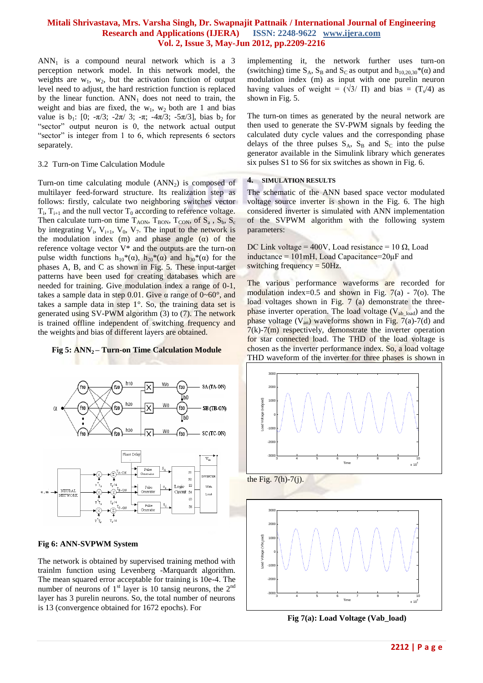$ANN<sub>1</sub>$  is a compound neural network which is a 3 perception network model. In this network model, the weights are  $w_1$ ,  $w_2$ , but the activation function of output level need to adjust, the hard restriction function is replaced by the linear function.  $ANN_1$  does not need to train, the weight and bias are fixed, the  $w_1$ ,  $w_2$  both are 1 and bias value is  $b_1$ : [0;  $-\pi/3$ ;  $-2\pi/3$ ;  $-\pi$ ;  $-4\pi/3$ ;  $-5\pi/3$ ], bias  $b_2$  for "sector" output neuron is 0, the network actual output "sector" is integer from 1 to 6, which represents 6 sectors separately.

#### 3.2 Turn-on Time Calculation Module

Turn-on time calculating module  $(ANN<sub>2</sub>)$  is composed of multilayer feed-forward structure. Its realization step as follows: firstly, calculate two neighboring switches vector  $T_i$ ,  $T_{i+1}$  and the null vector  $T_0$  according to reference voltage. Then calculate turn-on time  $T_{AON}$ ,  $T_{BON}$ ,  $T_{CON}$ , of  $S_a$ ,  $S_b$ ,  $S_c$ by integrating  $V_i$ ,  $V_{i+1}$ ,  $V_0$ ,  $V_7$ . The input to the network is the modulation index (m) and phase angle  $(\alpha)$  of the reference voltage vector  $V^*$  and the outputs are the turn-on pulse width functions  $h_{10}*(\alpha)$ ,  $h_{20}*(\alpha)$  and  $h_{30}*(\alpha)$  for the phases A, B, and C as shown in Fig. 5. These input-target patterns have been used for creating databases which are needed for training. Give modulation index a range of 0-1, takes a sample data in step 0.01. Give  $\alpha$  range of 0~60°, and takes a sample data in step 1°. So, the training data set is generated using SV-PWM algorithm (3) to (7). The network is trained offline independent of switching frequency and the weights and bias of different layers are obtained.

## **Fig 5: ANN2 – Turn-on Time Calculation Module**



#### **Fig 6: ANN-SVPWM System**

The network is obtained by supervised training method with trainlm function using Levenberg -Marquardt algorithm. The mean squared error acceptable for training is 10e-4. The number of neurons of  $1<sup>st</sup>$  layer is 10 tansig neurons, the  $2<sup>nd</sup>$ layer has 3 purelin neurons. So, the total number of neurons is 13 (convergence obtained for 1672 epochs). For

implementing it, the network further uses turn-on (switching) time  $S_A$ ,  $S_B$  and  $S_C$  as output and  $h_{10,20,30}*(\alpha)$  and modulation index (m) as input with one purelin neuron having values of weight =  $(\sqrt{3}/\Pi)$  and bias =  $(T_s/4)$  as shown in Fig. 5.

The turn-on times as generated by the neural network are then used to generate the SV-PWM signals by feeding the calculated duty cycle values and the corresponding phase delays of the three pulses  $S_A$ ,  $S_B$  and  $S_C$  into the pulse generator available in the Simulink library which generates six pulses S1 to S6 for six switches as shown in Fig. 6.

#### **4. SIMULATION RESULTS**

The schematic of the ANN based space vector modulated voltage source inverter is shown in the Fig. 6. The high considered inverter is simulated with ANN implementation of the SVPWM algorithm with the following system parameters:

DC Link voltage = 400V, Load resistance = 10  $\Omega$ , Load inductance = 101mH, Load Capacitance=20μF and switching frequency  $=$  50Hz.

The various performance waveforms are recorded for modulation index=0.5 and shown in Fig.  $7(a)$  -  $7(0)$ . The load voltages shown in Fig. 7 (a) demonstrate the three**phase inverter operation. The load voltage (** $V_{ab\text{ load}}$ **) and the** phase voltage  $(V_{an})$  waveforms shown in Fig. 7(a)-7(d) and  $7(k)$ -7(m) respectively, demonstrate the inverter operation for star connected load. The THD of the load voltage is chosen as the inverter performance index. So, a load voltage THD waveform of the inverter for three phases is shown in



the Fig.  $7(h)$ - $7(i)$ .



**Fig 7(a): Load Voltage (Vab\_load)**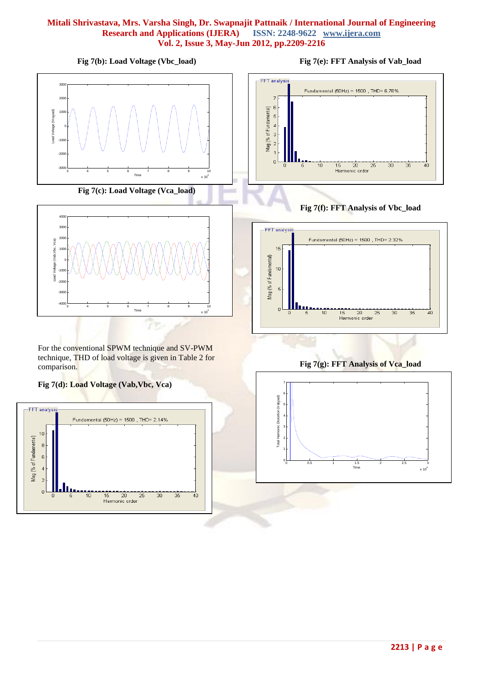**Fig 7(b): Load Voltage (Vbc\_load)**





For the conventional SPWM technique and SV-PWM technique, THD of load voltage is given in Table 2 for comparison.

## **Fig 7(d): Load Voltage (Vab,Vbc, Vca)**





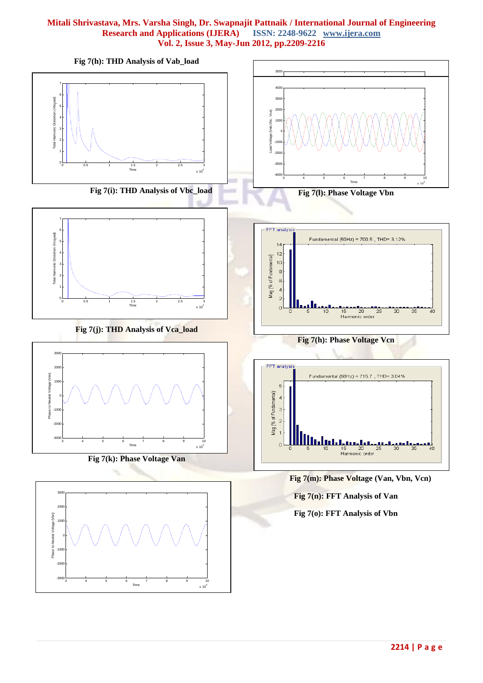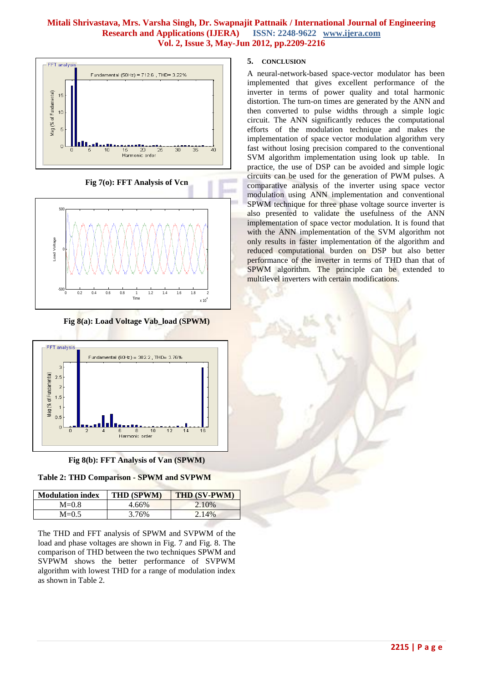

**Fig 7(o): FFT Analysis of Vcn**



**Fig 8(a): Load Voltage Vab\_load (SPWM)**



**Fig 8(b): FFT Analysis of Van (SPWM)**

## **Table 2: THD Comparison - SPWM and SVPWM**

| <b>Modulation index</b> | <b>THD (SPWM)</b> | <b>THD (SV-PWM)</b> |  |
|-------------------------|-------------------|---------------------|--|
| $M=0.8$                 | 4.66%             | 2.10%               |  |
| $M=0.5$                 | 3.76%             | 2.14%               |  |

The THD and FFT analysis of SPWM and SVPWM of the load and phase voltages are shown in Fig. 7 and Fig. 8. The comparison of THD between the two techniques SPWM and SVPWM shows the better performance of SVPWM algorithm with lowest THD for a range of modulation index as shown in Table 2.

#### **5. CONCLUSION**

A neural-network-based space-vector modulator has been implemented that gives excellent performance of the inverter in terms of power quality and total harmonic distortion. The turn-on times are generated by the ANN and then converted to pulse widths through a simple logic circuit. The ANN significantly reduces the computational efforts of the modulation technique and makes the implementation of space vector modulation algorithm very fast without losing precision compared to the conventional SVM algorithm implementation using look up table. In practice, the use of DSP can be avoided and simple logic circuits can be used for the generation of PWM pulses. A comparative analysis of the inverter using space vector modulation using ANN implementation and conventional SPWM technique for three phase voltage source inverter is also presented to validate the usefulness of the ANN implementation of space vector modulation. It is found that with the ANN implementation of the SVM algorithm not only results in faster implementation of the algorithm and reduced computational burden on DSP but also better performance of the inverter in terms of THD than that of SPWM algorithm. The principle can be extended to multilevel inverters with certain modifications.